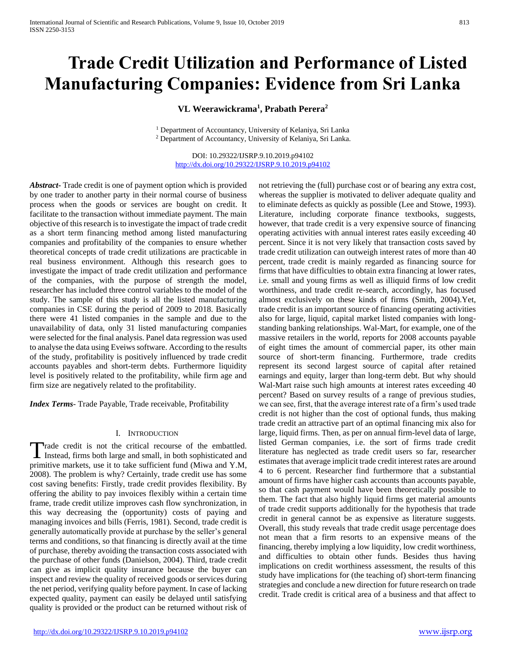# **Trade Credit Utilization and Performance of Listed Manufacturing Companies: Evidence from Sri Lanka**

**VL Weerawickrama<sup>1</sup> , Prabath Perera<sup>2</sup>**

<sup>1</sup> Department of Accountancy, University of Kelaniya, Sri Lanka <sup>2</sup> Department of Accountancy, University of Kelaniya, Sri Lanka.

DOI: 10.29322/IJSRP.9.10.2019.p94102 <http://dx.doi.org/10.29322/IJSRP.9.10.2019.p94102>

*Abstract***-** Trade credit is one of payment option which is provided by one trader to another party in their normal course of business process when the goods or services are bought on credit. It facilitate to the transaction without immediate payment. The main objective of this research is to investigate the impact of trade credit as a short term financing method among listed manufacturing companies and profitability of the companies to ensure whether theoretical concepts of trade credit utilizations are practicable in real business environment. Although this research goes to investigate the impact of trade credit utilization and performance of the companies, with the purpose of strength the model, researcher has included three control variables to the model of the study. The sample of this study is all the listed manufacturing companies in CSE during the period of 2009 to 2018. Basically there were 41 listed companies in the sample and due to the unavailability of data, only 31 listed manufacturing companies were selected for the final analysis. Panel data regression was used to analyse the data using Eveiws software. According to the results of the study, profitability is positively influenced by trade credit accounts payables and short-term debts. Furthermore liquidity level is positively related to the profitability, while firm age and firm size are negatively related to the profitability.

*Index Terms*- Trade Payable, Trade receivable, Profitability

#### I. INTRODUCTION

Trade credit is not the critical recourse of the embattled. Trade credit is not the critical recourse of the embattled.<br>Instead, firms both large and small, in both sophisticated and primitive markets, use it to take sufficient fund (Miwa and Y.M, 2008). The problem is why? Certainly, trade credit use has some cost saving benefits: Firstly, trade credit provides flexibility. By offering the ability to pay invoices flexibly within a certain time frame, trade credit utilize improves cash flow synchronization, in this way decreasing the (opportunity) costs of paying and managing invoices and bills (Ferris, 1981). Second, trade credit is generally automatically provide at purchase by the seller's general terms and conditions, so that financing is directly avail at the time of purchase, thereby avoiding the transaction costs associated with the purchase of other funds (Danielson, 2004). Third, trade credit can give as implicit quality insurance because the buyer can inspect and review the quality of received goods or services during the net period, verifying quality before payment. In case of lacking expected quality, payment can easily be delayed until satisfying quality is provided or the product can be returned without risk of

not retrieving the (full) purchase cost or of bearing any extra cost, whereas the supplier is motivated to deliver adequate quality and to eliminate defects as quickly as possible (Lee and Stowe, 1993). Literature, including corporate finance textbooks, suggests, however, that trade credit is a very expensive source of financing operating activities with annual interest rates easily exceeding 40 percent. Since it is not very likely that transaction costs saved by trade credit utilization can outweigh interest rates of more than 40 percent, trade credit is mainly regarded as financing source for firms that have difficulties to obtain extra financing at lower rates, i.e. small and young firms as well as illiquid firms of low credit worthiness, and trade credit re-search, accordingly, has focused almost exclusively on these kinds of firms (Smith, 2004).Yet, trade credit is an important source of financing operating activities also for large, liquid, capital market listed companies with longstanding banking relationships. Wal-Mart, for example, one of the massive retailers in the world, reports for 2008 accounts payable of eight times the amount of commercial paper, its other main source of short-term financing. Furthermore, trade credits represent its second largest source of capital after retained earnings and equity, larger than long-term debt. But why should Wal-Mart raise such high amounts at interest rates exceeding 40 percent? Based on survey results of a range of previous studies, we can see, first, that the average interest rate of a firm's used trade credit is not higher than the cost of optional funds, thus making trade credit an attractive part of an optimal financing mix also for large, liquid firms. Then, as per on annual firm-level data of large, listed German companies, i.e. the sort of firms trade credit literature has neglected as trade credit users so far, researcher estimates that average implicit trade credit interest rates are around 4 to 6 percent. Researcher find furthermore that a substantial amount of firms have higher cash accounts than accounts payable, so that cash payment would have been theoretically possible to them. The fact that also highly liquid firms get material amounts of trade credit supports additionally for the hypothesis that trade credit in general cannot be as expensive as literature suggests. Overall, this study reveals that trade credit usage percentage does not mean that a firm resorts to an expensive means of the financing, thereby implying a low liquidity, low credit worthiness, and difficulties to obtain other funds. Besides thus having implications on credit worthiness assessment, the results of this study have implications for (the teaching of) short-term financing strategies and conclude a new direction for future research on trade credit. Trade credit is critical area of a business and that affect to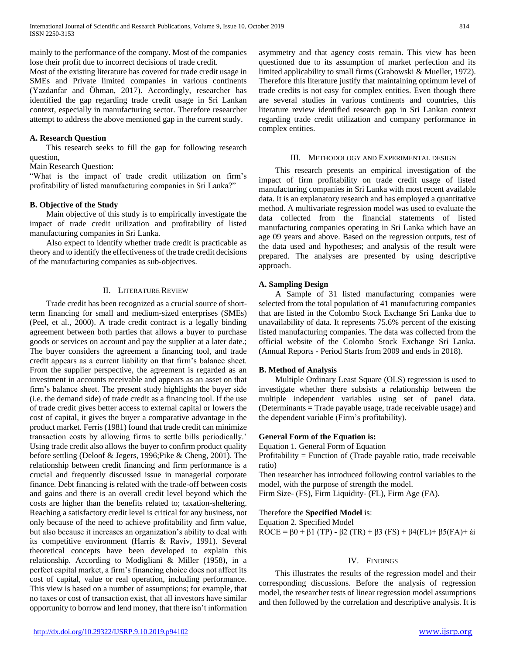mainly to the performance of the company. Most of the companies lose their profit due to incorrect decisions of trade credit.

Most of the existing literature has covered for trade credit usage in SMEs and Private limited companies in various continents (Yazdanfar and Öhman, 2017). Accordingly, researcher has identified the gap regarding trade credit usage in Sri Lankan context, especially in manufacturing sector. Therefore researcher attempt to address the above mentioned gap in the current study.

# **A. Research Question**

 This research seeks to fill the gap for following research question,

Main Research Question:

"What is the impact of trade credit utilization on firm's profitability of listed manufacturing companies in Sri Lanka?"

## **B. Objective of the Study**

 Main objective of this study is to empirically investigate the impact of trade credit utilization and profitability of listed manufacturing companies in Sri Lanka.

 Also expect to identify whether trade credit is practicable as theory and to identify the effectiveness of the trade credit decisions of the manufacturing companies as sub-objectives.

#### II. LITERATURE REVIEW

 Trade credit has been recognized as a crucial source of shortterm financing for small and medium-sized enterprises (SMEs) (Peel, et al., 2000). A trade credit contract is a legally binding agreement between both parties that allows a buyer to purchase goods or services on account and pay the supplier at a later date.; The buyer considers the agreement a financing tool, and trade credit appears as a current liability on that firm's balance sheet. From the supplier perspective, the agreement is regarded as an investment in accounts receivable and appears as an asset on that firm's balance sheet. The present study highlights the buyer side (i.e. the demand side) of trade credit as a financing tool. If the use of trade credit gives better access to external capital or lowers the cost of capital, it gives the buyer a comparative advantage in the product market. Ferris (1981) found that trade credit can minimize transaction costs by allowing firms to settle bills periodically.' Using trade credit also allows the buyer to confirm product quality before settling (Deloof & Jegers, 1996;Pike & Cheng, 2001). The relationship between credit financing and firm performance is a crucial and frequently discussed issue in managerial corporate finance. Debt financing is related with the trade-off between costs and gains and there is an overall credit level beyond which the costs are higher than the benefits related to; taxation-sheltering. Reaching a satisfactory credit level is critical for any business, not only because of the need to achieve profitability and firm value, but also because it increases an organization's ability to deal with its competitive environment (Harris & Raviv, 1991). Several theoretical concepts have been developed to explain this relationship. According to Modigliani & Miller (1958), in a perfect capital market, a firm's financing choice does not affect its cost of capital, value or real operation, including performance. This view is based on a number of assumptions; for example, that no taxes or cost of transaction exist, that all investors have similar opportunity to borrow and lend money, that there isn't information

asymmetry and that agency costs remain. This view has been questioned due to its assumption of market perfection and its limited applicability to small firms (Grabowski & Mueller, 1972). Therefore this literature justify that maintaining optimum level of trade credits is not easy for complex entities. Even though there are several studies in various continents and countries, this literature review identified research gap in Sri Lankan context regarding trade credit utilization and company performance in complex entities.

#### III. METHODOLOGY AND EXPERIMENTAL DESIGN

 This research presents an empirical investigation of the impact of firm profitability on trade credit usage of listed manufacturing companies in Sri Lanka with most recent available data. It is an explanatory research and has employed a quantitative method. A multivariate regression model was used to evaluate the data collected from the financial statements of listed manufacturing companies operating in Sri Lanka which have an age 09 years and above. Based on the regression outputs, test of the data used and hypotheses; and analysis of the result were prepared. The analyses are presented by using descriptive approach.

## **A. Sampling Design**

 A Sample of 31 listed manufacturing companies were selected from the total population of 41 manufacturing companies that are listed in the Colombo Stock Exchange Sri Lanka due to unavailability of data. It represents 75.6% percent of the existing listed manufacturing companies. The data was collected from the official website of the Colombo Stock Exchange Sri Lanka. (Annual Reports - Period Starts from 2009 and ends in 2018).

#### **B. Method of Analysis**

 Multiple Ordinary Least Square (OLS) regression is used to investigate whether there subsists a relationship between the multiple independent variables using set of panel data. (Determinants = Trade payable usage, trade receivable usage) and the dependent variable (Firm's profitability).

# **General Form of the Equation is:**

Equation 1. General Form of Equation

Profitability = Function of (Trade payable ratio, trade receivable ratio)

Then researcher has introduced following control variables to the model, with the purpose of strength the model.

Firm Size- (FS), Firm Liquidity- (FL), Firm Age (FA).

#### Therefore the **Specified Model** is:

Equation 2. Specified Model ROCE = β0 + β1 (TP) - β2 (TR) + β3 (FS) + β4(FL) + β5(FA) + έi

#### IV. FINDINGS

 This illustrates the results of the regression model and their corresponding discussions. Before the analysis of regression model, the researcher tests of linear regression model assumptions and then followed by the correlation and descriptive analysis. It is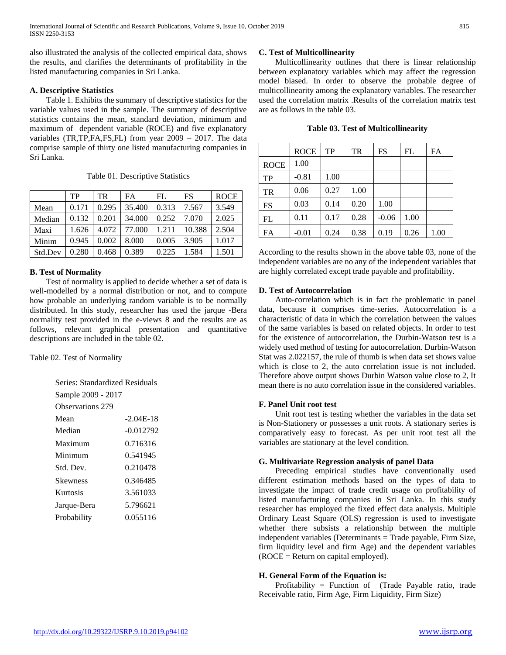also illustrated the analysis of the collected empirical data, shows the results, and clarifies the determinants of profitability in the listed manufacturing companies in Sri Lanka.

## **A. Descriptive Statistics**

 Table 1. Exhibits the summary of descriptive statistics for the variable values used in the sample. The summary of descriptive statistics contains the mean, standard deviation, minimum and maximum of dependent variable (ROCE) and five explanatory variables (TR,TP,FA,FS,FL) from year 2009 – 2017. The data comprise sample of thirty one listed manufacturing companies in Sri Lanka.

Table 01. Descriptive Statistics

|         | TP    | TR.   | FA     | FL    | <b>FS</b> | <b>ROCE</b> |
|---------|-------|-------|--------|-------|-----------|-------------|
| Mean    | 0.171 | 0.295 | 35.400 | 0.313 | 7.567     | 3.549       |
| Median  | 0.132 | 0.201 | 34,000 | 0.252 | 7.070     | 2.025       |
| Maxi    | 1.626 | 4.072 | 77,000 | 1.211 | 10.388    | 2.504       |
| Minim   | 0.945 | 0.002 | 8.000  | 0.005 | 3.905     | 1.017       |
| Std.Dev | 0.280 | 0.468 | 0.389  | 0.225 | 1.584     | 1.501       |

# **B. Test of Normality**

 Test of normality is applied to decide whether a set of data is well-modelled by a normal distribution or not, and to compute how probable an underlying random variable is to be normally distributed. In this study, researcher has used the jarque -Bera normality test provided in the e-views 8 and the results are as follows, relevant graphical presentation and quantitative descriptions are included in the table 02.

Table 02. Test of Normality

| Series: Standardized Residuals |             |  |  |
|--------------------------------|-------------|--|--|
| Sample 2009 - 2017             |             |  |  |
| Observations 279               |             |  |  |
| Mean                           | -2.04E-18   |  |  |
| Median                         | $-0.012792$ |  |  |
| Maximum                        | 0.716316    |  |  |
| Minimum                        | 0.541945    |  |  |
| Std. Dev.                      | 0.210478    |  |  |
| Skewness                       | 0.346485    |  |  |
| Kurtosis                       | 3.561033    |  |  |
| Jarque-Bera                    | 5.796621    |  |  |
| Probability                    | 0.055116    |  |  |

# **C. Test of Multicollinearity**

 Multicollinearity outlines that there is linear relationship between explanatory variables which may affect the regression model biased. In order to observe the probable degree of multicollinearity among the explanatory variables. The researcher used the correlation matrix .Results of the correlation matrix test are as follows in the table 03.

|  |  | <b>Table 03. Test of Multicollinearity</b> |  |
|--|--|--------------------------------------------|--|
|--|--|--------------------------------------------|--|

|             | <b>ROCE</b> | TP   | <b>TR</b> | FS      | FL   | FA   |
|-------------|-------------|------|-----------|---------|------|------|
| <b>ROCE</b> | 1.00        |      |           |         |      |      |
| TP          | $-0.81$     | 1.00 |           |         |      |      |
| <b>TR</b>   | 0.06        | 0.27 | 1.00      |         |      |      |
| <b>FS</b>   | 0.03        | 0.14 | 0.20      | 1.00    |      |      |
| FL          | 0.11        | 0.17 | 0.28      | $-0.06$ | 1.00 |      |
| FA          | $-0.01$     | 0.24 | 0.38      | 0.19    | 0.26 | 1.00 |

According to the results shown in the above table 03, none of the independent variables are no any of the independent variables that are highly correlated except trade payable and profitability.

## **D. Test of Autocorrelation**

 Auto-correlation which is in fact the problematic in panel data, because it comprises time-series. Autocorrelation is a characteristic of data in which the correlation between the values of the same variables is based on related objects. In order to test for the existence of autocorrelation, the Durbin-Watson test is a widely used method of testing for autocorrelation. Durbin-Watson Stat was 2.022157, the rule of thumb is when data set shows value which is close to 2, the auto correlation issue is not included. Therefore above output shows Durbin Watson value close to 2, It mean there is no auto correlation issue in the considered variables.

# **F. Panel Unit root test**

 Unit root test is testing whether the variables in the data set is Non-Stationery or possesses a unit roots. A stationary series is comparatively easy to forecast. As per unit root test all the variables are stationary at the level condition.

# **G. Multivariate Regression analysis of panel Data**

 Preceding empirical studies have conventionally used different estimation methods based on the types of data to investigate the impact of trade credit usage on profitability of listed manufacturing companies in Sri Lanka. In this study researcher has employed the fixed effect data analysis. Multiple Ordinary Least Square (OLS) regression is used to investigate whether there subsists a relationship between the multiple independent variables (Determinants = Trade payable, Firm Size, firm liquidity level and firm Age) and the dependent variables  $(ROCE = Return on capital employed)$ .

# **H. General Form of the Equation is:**

 Profitability = Function of (Trade Payable ratio, trade Receivable ratio, Firm Age, Firm Liquidity, Firm Size)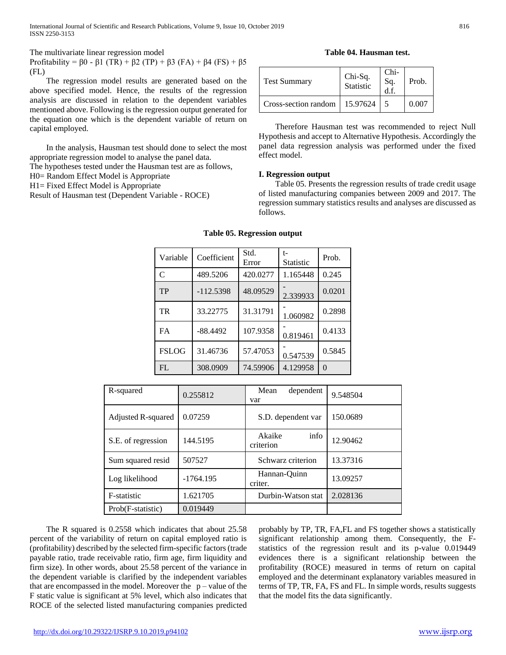International Journal of Scientific and Research Publications, Volume 9, Issue 10, October 2019 816 ISSN 2250-3153

The multivariate linear regression model

Profitability =  $\beta$ 0 -  $\beta$ 1 (TR) +  $\beta$ 2 (TP) +  $\beta$ 3 (FA) +  $\beta$ 4 (FS) +  $\beta$ 5 (FL)

 The regression model results are generated based on the above specified model. Hence, the results of the regression analysis are discussed in relation to the dependent variables mentioned above. Following is the regression output generated for the equation one which is the dependent variable of return on capital employed.

 In the analysis, Hausman test should done to select the most appropriate regression model to analyse the panel data.

The hypotheses tested under the Hausman test are as follows,

H0= Random Effect Model is Appropriate

H1= Fixed Effect Model is Appropriate

Result of Hausman test (Dependent Variable - ROCE)

**Table 04. Hausman test.**

| <b>Test Summary</b>  | Chi-Sq.<br>Statistic | Chi-<br>Sq.<br>d.f. | Prob. |
|----------------------|----------------------|---------------------|-------|
| Cross-section random | 15.97624             |                     | 0.007 |

 Therefore Hausman test was recommended to reject Null Hypothesis and accept to Alternative Hypothesis. Accordingly the panel data regression analysis was performed under the fixed effect model.

#### **I. Regression output**

 Table 05. Presents the regression results of trade credit usage of listed manufacturing companies between 2009 and 2017. The regression summary statistics results and analyses are discussed as follows.

| Variable     | Coefficient | Std.<br>Error | t-<br><b>Statistic</b> | Prob.    |
|--------------|-------------|---------------|------------------------|----------|
| C            | 489.5206    | 420.0277      | 1.165448               | 0.245    |
| TP           | $-112.5398$ | 48.09529      | 2.339933               | 0.0201   |
| TR           | 33.22775    | 31.31791      | 1.060982               | 0.2898   |
| <b>FA</b>    | $-88.4492$  | 107.9358      | 0.819461               | 0.4133   |
| <b>FSLOG</b> | 31.46736    | 57.47053      | 0.547539               | 0.5845   |
| FL           | 308.0909    | 74.59906      | 4.129958               | $\Omega$ |

#### **Table 05. Regression output**

| R-squared          | 0.255812                    | Mean<br>dependent<br>var    | 9.548504 |
|--------------------|-----------------------------|-----------------------------|----------|
| Adjusted R-squared | 0.07259                     | S.D. dependent var          | 150.0689 |
| S.E. of regression | 144.5195                    | info<br>Akaike<br>criterion | 12.90462 |
| Sum squared resid  | 507527<br>Schwarz criterion |                             | 13.37316 |
| Log likelihood     | $-1764.195$                 | Hannan-Quinn<br>criter.     | 13.09257 |
| F-statistic        | 1.621705                    | Durbin-Watson stat          | 2.028136 |
| Prob(F-statistic)  | 0.019449                    |                             |          |

 The R squared is 0.2558 which indicates that about 25.58 percent of the variability of return on capital employed ratio is (profitability) described by the selected firm-specific factors (trade payable ratio, trade receivable ratio, firm age, firm liquidity and firm size). In other words, about 25.58 percent of the variance in the dependent variable is clarified by the independent variables that are encompassed in the model. Moreover the  $p$  – value of the F static value is significant at 5% level, which also indicates that ROCE of the selected listed manufacturing companies predicted

probably by TP, TR, FA,FL and FS together shows a statistically significant relationship among them. Consequently, the Fstatistics of the regression result and its p-value 0.019449 evidences there is a significant relationship between the profitability (ROCE) measured in terms of return on capital employed and the determinant explanatory variables measured in terms of TP, TR, FA, FS and FL. In simple words, results suggests that the model fits the data significantly.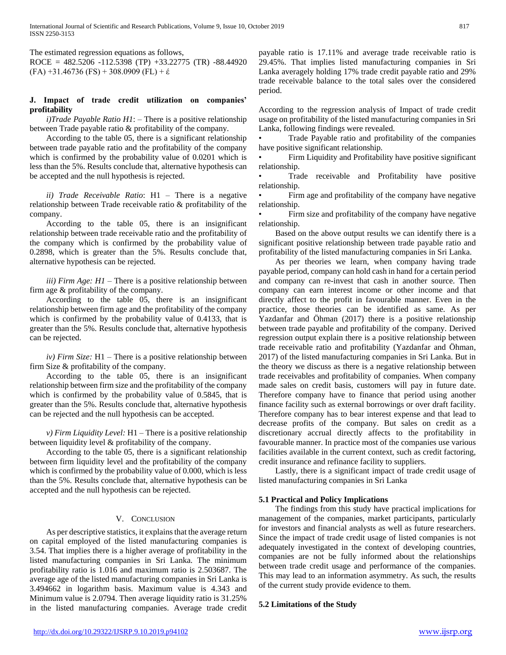The estimated regression equations as follows,

ROCE =  $482.5206 -112.5398$  (TP)  $+33.22775$  (TR)  $-88.44920$  $(FA) +31.46736$   $(FS) + 308.0909$   $(FL) + \varepsilon$ 

#### **J. Impact of trade credit utilization on companies' profitability**

 *i)Trade Payable Ratio H1*: – There is a positive relationship between Trade payable ratio & profitability of the company.

 According to the table 05, there is a significant relationship between trade payable ratio and the profitability of the company which is confirmed by the probability value of 0.0201 which is less than the 5%. Results conclude that, alternative hypothesis can be accepted and the null hypothesis is rejected.

 *ii) Trade Receivable Ratio*: H1 – There is a negative relationship between Trade receivable ratio & profitability of the company.

 According to the table 05, there is an insignificant relationship between trade receivable ratio and the profitability of the company which is confirmed by the probability value of 0.2898, which is greater than the 5%. Results conclude that, alternative hypothesis can be rejected.

 *iii) Firm Age: H1* – There is a positive relationship between firm age & profitability of the company.

 According to the table 05, there is an insignificant relationship between firm age and the profitability of the company which is confirmed by the probability value of 0.4133, that is greater than the 5%. Results conclude that, alternative hypothesis can be rejected.

 *iv) Firm Size:* H1 – There is a positive relationship between firm Size & profitability of the company.

 According to the table 05, there is an insignificant relationship between firm size and the profitability of the company which is confirmed by the probability value of 0.5845, that is greater than the 5%. Results conclude that, alternative hypothesis can be rejected and the null hypothesis can be accepted.

 *v) Firm Liquidity Level:* H1 – There is a positive relationship between liquidity level & profitability of the company.

 According to the table 05, there is a significant relationship between firm liquidity level and the profitability of the company which is confirmed by the probability value of 0.000, which is less than the 5%. Results conclude that, alternative hypothesis can be accepted and the null hypothesis can be rejected.

# V. CONCLUSION

 As per descriptive statistics, it explains that the average return on capital employed of the listed manufacturing companies is 3.54. That implies there is a higher average of profitability in the listed manufacturing companies in Sri Lanka. The minimum profitability ratio is 1.016 and maximum ratio is 2.503687. The average age of the listed manufacturing companies in Sri Lanka is 3.494662 in logarithm basis. Maximum value is 4.343 and Minimum value is 2.0794. Then average liquidity ratio is 31.25% in the listed manufacturing companies. Average trade credit

payable ratio is 17.11% and average trade receivable ratio is 29.45%. That implies listed manufacturing companies in Sri Lanka averagely holding 17% trade credit payable ratio and 29% trade receivable balance to the total sales over the considered period.

According to the regression analysis of Impact of trade credit usage on profitability of the listed manufacturing companies in Sri Lanka, following findings were revealed.

• Trade Payable ratio and profitability of the companies have positive significant relationship.

Firm Liquidity and Profitability have positive significant relationship.

Trade receivable and Profitability have positive relationship.

• Firm age and profitability of the company have negative relationship.

Firm size and profitability of the company have negative relationship.

 Based on the above output results we can identify there is a significant positive relationship between trade payable ratio and profitability of the listed manufacturing companies in Sri Lanka.

 As per theories we learn, when company having trade payable period, company can hold cash in hand for a certain period and company can re-invest that cash in another source. Then company can earn interest income or other income and that directly affect to the profit in favourable manner. Even in the practice, those theories can be identified as same. As per Yazdanfar and Öhman (2017) there is a positive relationship between trade payable and profitability of the company. Derived regression output explain there is a positive relationship between trade receivable ratio and profitability (Yazdanfar and Öhman, 2017) of the listed manufacturing companies in Sri Lanka. But in the theory we discuss as there is a negative relationship between trade receivables and profitability of companies. When company made sales on credit basis, customers will pay in future date. Therefore company have to finance that period using another finance facility such as external borrowings or over draft facility. Therefore company has to bear interest expense and that lead to decrease profits of the company. But sales on credit as a discretionary accrual directly affects to the profitability in favourable manner. In practice most of the companies use various facilities available in the current context, such as credit factoring, credit insurance and refinance facility to suppliers.

 Lastly, there is a significant impact of trade credit usage of listed manufacturing companies in Sri Lanka

#### **5.1 Practical and Policy Implications**

 The findings from this study have practical implications for management of the companies, market participants, particularly for investors and financial analysts as well as future researchers. Since the impact of trade credit usage of listed companies is not adequately investigated in the context of developing countries, companies are not be fully informed about the relationships between trade credit usage and performance of the companies. This may lead to an information asymmetry. As such, the results of the current study provide evidence to them.

#### **5.2 Limitations of the Study**